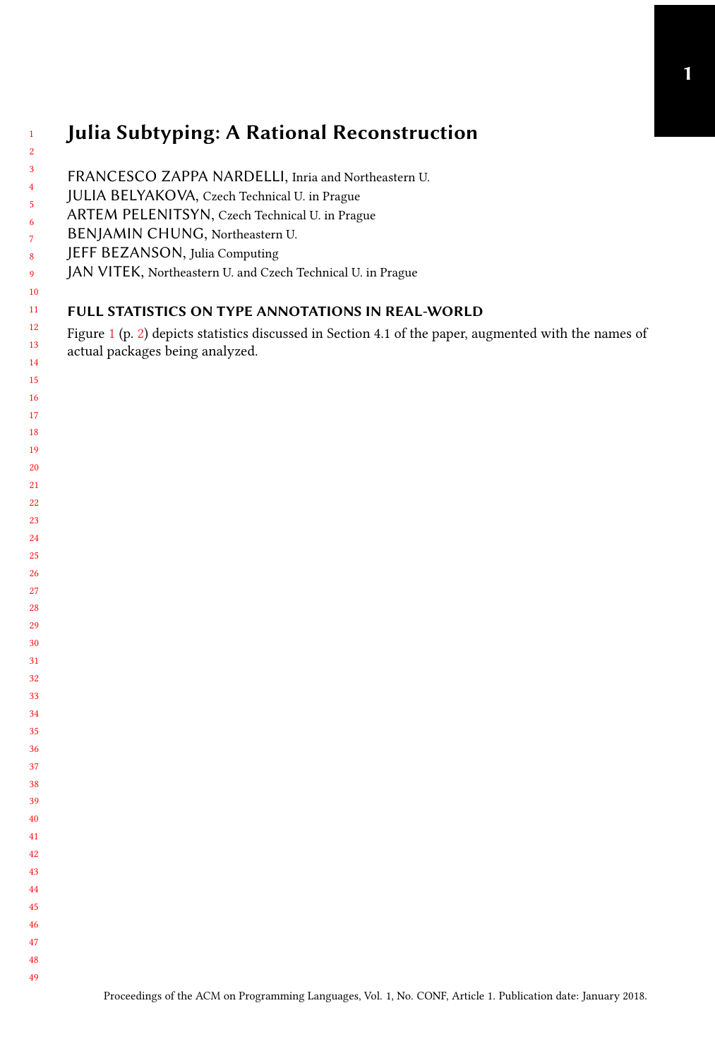## Julia Subtyping: A Rational Reconstruction

| $\mathbf{1}$<br>$\overline{\mathbf{2}}$ | <b>Julia Subtyping: A Rational Reconstruction</b>                                                                                                      |
|-----------------------------------------|--------------------------------------------------------------------------------------------------------------------------------------------------------|
| 3<br>$\overline{\mathbf{4}}$<br>5       | FRANCESCO ZAPPA NARDELLI, Inria and Northeastern U.<br>JULIA BELYAKOVA, Czech Technical U. in Prague<br>ARTEM PELENITSYN, Czech Technical U. in Prague |
| 6<br>$\overline{7}$                     | BENJAMIN CHUNG, Northeastern U.                                                                                                                        |
| 8<br>9                                  | JEFF BEZANSON, Julia Computing<br>JAN VITEK, Northeastern U. and Czech Technical U. in Prague                                                          |
| 10                                      |                                                                                                                                                        |
| 11                                      | FULL STATISTICS ON TYPE ANNOTATIONS IN REAL-WORLD                                                                                                      |
| 12<br>13                                | Figure $1$ (p. 2) depicts statistics discussed in Section 4.1 of the paper, augmented with the names of<br>actual packages being analyzed.             |
| 14                                      |                                                                                                                                                        |
| 15<br>16                                |                                                                                                                                                        |
| 17                                      |                                                                                                                                                        |
| 18                                      |                                                                                                                                                        |
| 19                                      |                                                                                                                                                        |
| 20                                      |                                                                                                                                                        |
| 21                                      |                                                                                                                                                        |
| 22                                      |                                                                                                                                                        |
| 23                                      |                                                                                                                                                        |
| 24<br>25                                |                                                                                                                                                        |
| 26                                      |                                                                                                                                                        |
| 27                                      |                                                                                                                                                        |
| 28                                      |                                                                                                                                                        |
| 29                                      |                                                                                                                                                        |
| 30                                      |                                                                                                                                                        |
| 31                                      |                                                                                                                                                        |
| 32                                      |                                                                                                                                                        |
| 33                                      |                                                                                                                                                        |
| 34<br>35                                |                                                                                                                                                        |
| 36                                      |                                                                                                                                                        |
| 37                                      |                                                                                                                                                        |
| 38                                      |                                                                                                                                                        |
| 39                                      |                                                                                                                                                        |
| 40                                      |                                                                                                                                                        |
| 41                                      |                                                                                                                                                        |
| 42                                      |                                                                                                                                                        |
| 43                                      |                                                                                                                                                        |
| 44<br>45                                |                                                                                                                                                        |
| 46                                      |                                                                                                                                                        |
|                                         |                                                                                                                                                        |